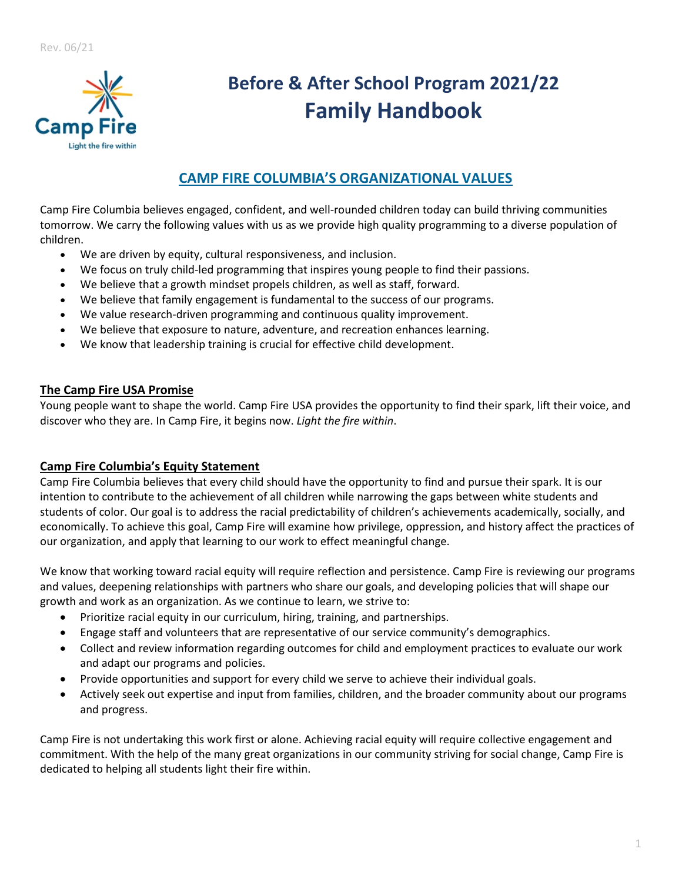

# **Before & After School Program 2021/22 Family Handbook**

# **CAMP FIRE COLUMBIA'S ORGANIZATIONAL VALUES**

Camp Fire Columbia believes engaged, confident, and well-rounded children today can build thriving communities tomorrow. We carry the following values with us as we provide high quality programming to a diverse population of children.

- We are driven by equity, cultural responsiveness, and inclusion.
- We focus on truly child-led programming that inspires young people to find their passions.
- We believe that a growth mindset propels children, as well as staff, forward.
- We believe that family engagement is fundamental to the success of our programs.
- We value research-driven programming and continuous quality improvement.
- We believe that exposure to nature, adventure, and recreation enhances learning.
- We know that leadership training is crucial for effective child development.

# **The Camp Fire USA Promise**

Young people want to shape the world. Camp Fire USA provides the opportunity to find their spark, lift their voice, and discover who they are. In Camp Fire, it begins now. *Light the fire within*.

# **Camp Fire Columbia's Equity Statement**

Camp Fire Columbia believes that every child should have the opportunity to find and pursue their spark. It is our intention to contribute to the achievement of all children while narrowing the gaps between white students and students of color. Our goal is to address the racial predictability of children's achievements academically, socially, and economically. To achieve this goal, Camp Fire will examine how privilege, oppression, and history affect the practices of our organization, and apply that learning to our work to effect meaningful change.

We know that working toward racial equity will require reflection and persistence. Camp Fire is reviewing our programs and values, deepening relationships with partners who share our goals, and developing policies that will shape our growth and work as an organization. As we continue to learn, we strive to:

- Prioritize racial equity in our curriculum, hiring, training, and partnerships.
- Engage staff and volunteers that are representative of our service community's demographics.
- Collect and review information regarding outcomes for child and employment practices to evaluate our work and adapt our programs and policies.
- Provide opportunities and support for every child we serve to achieve their individual goals.
- Actively seek out expertise and input from families, children, and the broader community about our programs and progress.

Camp Fire is not undertaking this work first or alone. Achieving racial equity will require collective engagement and commitment. With the help of the many great organizations in our community striving for social change, Camp Fire is dedicated to helping all students light their fire within.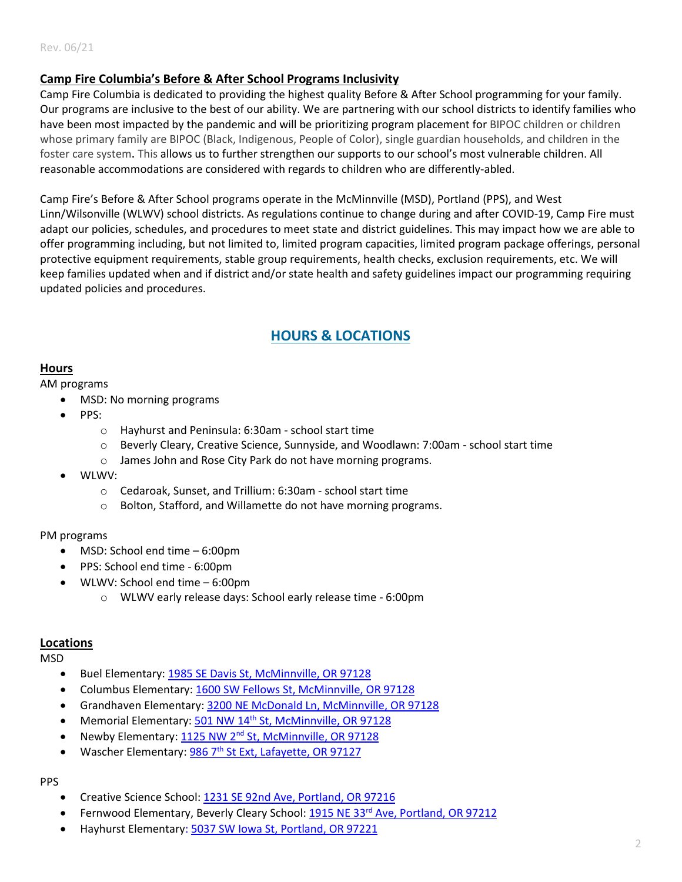# **Camp Fire Columbia's Before & After School Programs Inclusivity**

Camp Fire Columbia is dedicated to providing the highest quality Before & After School programming for your family. Our programs are inclusive to the best of our ability. We are partnering with our school districts to identify families who have been most impacted by the pandemic and will be prioritizing program placement for BIPOC children or children whose primary family are BIPOC (Black, Indigenous, People of Color), single guardian households, and children in the foster care system**.** This allows us to further strengthen our supports to our school's most vulnerable children. All reasonable accommodations are considered with regards to children who are differently-abled.

Camp Fire's Before & After School programs operate in the McMinnville (MSD), Portland (PPS), and West Linn/Wilsonville (WLWV) school districts. As regulations continue to change during and after COVID-19, Camp Fire must adapt our policies, schedules, and procedures to meet state and district guidelines. This may impact how we are able to offer programming including, but not limited to, limited program capacities, limited program package offerings, personal protective equipment requirements, stable group requirements, health checks, exclusion requirements, etc. We will keep families updated when and if district and/or state health and safety guidelines impact our programming requiring updated policies and procedures.

# **HOURS & LOCATIONS**

#### <span id="page-1-0"></span>**Hours**

#### AM programs

- MSD: No morning programs
- PPS:
	- o Hayhurst and Peninsula: 6:30am school start time
	- o Beverly Cleary, Creative Science, Sunnyside, and Woodlawn: 7:00am school start time
	- o James John and Rose City Park do not have morning programs.
- WLWV:
	- o Cedaroak, Sunset, and Trillium: 6:30am school start time
	- o Bolton, Stafford, and Willamette do not have morning programs.

#### PM programs

- MSD: School end time 6:00pm
- PPS: School end time 6:00pm
- WLWV: School end time 6:00pm
	- o WLWV early release days: School early release time 6:00pm

#### **Locations**

MSD

- Buel Elementary: [1985 SE Davis St, McMinnville, OR 97128](https://www.google.com/maps/place/Sue+Buel+Elementary+School/@45.1942149,-123.1968129,15z/data=!4m5!3m4!1s0x0:0x29472199b4a39990!8m2!3d45.1942167!4d-123.1965984)
- Columbus Elementary[: 1600 SW Fellows St, McMinnville, OR 97128](https://www.google.com/maps?q=columbus+elementary+school+mcminnville&rlz=1C1GCEA_enUS952US952&gs_lcp=Cgdnd3Mtd2l6EAMyBwgAEEcQsAMyBwgAEEcQsAMyBwgAEEcQsAMyBwgAEEcQsAMyBwgAEEcQsAMyBwgAEEcQsAMyBwgAEEcQsAMyBwgAEEcQsANKBAhBGABQ-QdY-Qdg1AloAXABeACAAVGIAZIBkgEBMpgBAKABAaoBB2d3cy13aXrIAQjAAQE&uact=5&um=1&ie=UTF-8&sa=X&ved=2ahUKEwicl9LMga_xAhWWvp4KHZ2eDSYQ_AUoAnoECAEQBA)
- Grandhaven Elementary: [3200 NE McDonald Ln, McMinnville, OR 97128](https://www.google.com/maps?q=grandhaven+elementary+school+mcminnville&rlz=1C1GCEA_enUS952US952&um=1&ie=UTF-8&sa=X&ved=2ahUKEwjjzrSIgq_xAhXGuZ4KHe_FCP8Q_AUoAXoECAEQAw)
- Memorial Elementary: 501 NW 14th [St, McMinnville, OR 97128](https://www.google.com/maps?q=memorial+elementary+school+mcminnville&rlz=1C1GCEA_enUS952US952&um=1&ie=UTF-8&sa=X&ved=2ahUKEwi18tDUgq_xAhUIrp4KHQM9AfIQ_AUoAXoECAEQAw)
- Newby Elementary: 1125 NW 2<sup>nd</sup> [St, McMinnville, OR 97128](https://www.google.com/maps?q=newby+elementary&rlz=1C1GCEA_enUS952US952&um=1&ie=UTF-8&sa=X&ved=2ahUKEwiCw9Plgq_xAhXFup4KHQ37ATMQ_AUoAXoECAIQAw)
- Wascher Elementary: 986 7<sup>th</sup> [St Ext, Lafayette, OR 97127](https://www.google.com/maps/place/Wascher+Elementary+School/@45.2469599,-123.1083995,17z/data=!3m1!4b1!4m5!3m4!1s0x549546f4275d0f27:0xb5ac474e773095f7!8m2!3d45.2465297!4d-123.1062107)

#### PPS

- Creative Science School[: 1231 SE 92nd Ave, Portland, OR 97216](https://www.google.com/maps/place/Creative+Science+School+at+Clark/@45.5136294,-122.5716096,17z/data=!3m1!4b1!4m5!3m4!1s0x5495a1af3e6d8817:0xb7d571c69e486f66!8m2!3d45.5136294!4d-122.5694209)
- Fernwood Elementary, Beverly Cleary School: 1915 NE 33rd [Ave, Portland, OR 97212](https://www.google.com/maps/place/Beverly+Cleary+School/@45.5231908,-123.1344523,9z/data=!3m1!5s0x5495a0d1f60436fd:0xf0a57034a3558665!4m9!1m2!2m1!1sfernwood+elementary+school!3m5!1s0x5495a0d1f69e5317:0xd0bbd8433db10728!8m2!3d45.5369687!4d-122.6314977!15sChpmZXJud29vZCBlbGVtZW50YXJ5IHNjaG9vbJIBBnNjaG9vbA)
- Hayhurst Elementary[: 5037 SW Iowa St, Portland, OR 97221](https://www.google.com/maps/place/Hayhurst+School/@45.4800841,-122.7312581,17z/data=!3m1!4b1!4m5!3m4!1s0x54950b970cf310fd:0x3d858c13d24442d7!8m2!3d45.4800841!4d-122.7290694)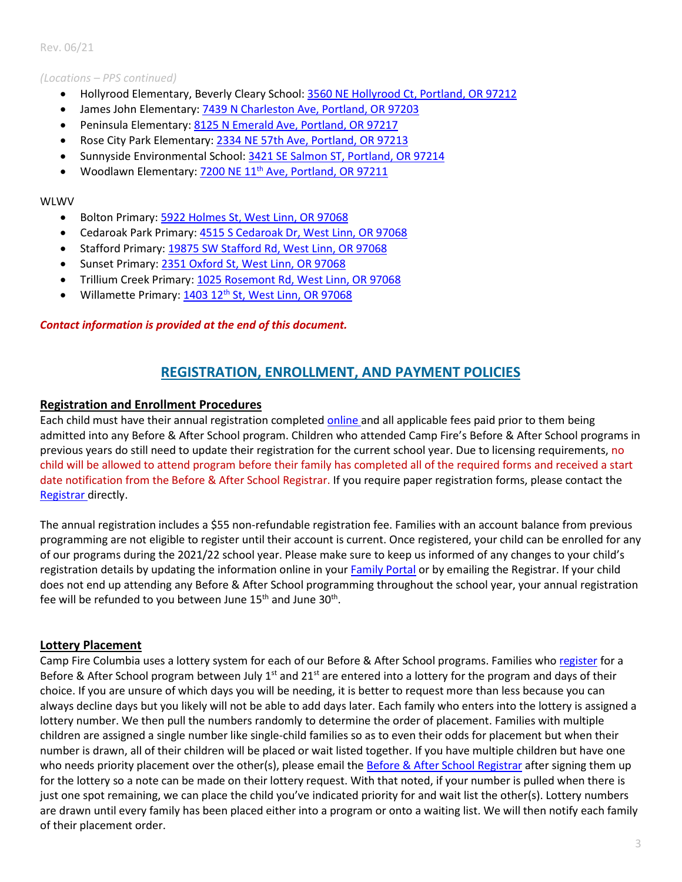#### *(Locations – PPS continued)*

- Hollyrood Elementary, Beverly Cleary School: [3560 NE Hollyrood Ct, Portland, OR 97212](https://www.google.com/maps/place/Beverly+Cleary+School+Hollyrood+Campus/@45.541179,-122.6294445,17z/data=!4m9!1m2!2m1!1shollyrood+elementary+school+portland!3m5!1s0x5495a0d4f5b241d9:0x281e79321efc24f3!8m2!3d45.5413084!4d-122.6272542!15sCiRob2xseXJvb2QgZWxlbWVudGFyeSBzY2hvb2wgcG9ydGxhbmSSARFlbGVtZW50YXJ5X3NjaG9vbA)
- James John Elementary: [7439 N Charleston Ave, Portland, OR](https://www.google.com/maps/place/James+John+Elementary+School/@45.5903832,-122.7545168,17z/data=!3m1!4b1!4m5!3m4!1s0x5495a8005351b5bf:0x9170f082201662cf!8m2!3d45.5903801!4d-122.7523183) 97203
- Peninsula Elementary: [8125 N Emerald Ave, Portland, OR 97217](https://www.google.com/maps?q=peninsula+elementary&rlz=1C1GCEA_enUS952US952&um=1&ie=UTF-8&sa=X&ved=2ahUKEwiQvM74gq_xAhXKrZ4KHQyfAKsQ_AUoAXoECAIQAw)
- Rose City Park Elementary[: 2334 NE 57th Ave, Portland, OR 97213](https://www.google.com/maps/place/Rose+City+Park+Elementary+School/@45.5394259,-122.6064328,17z/data=!3m1!4b1!4m5!3m4!1s0x5495a125772ce553:0xf00da2322b510e96!8m2!3d45.5394259!4d-122.6042441)
- Sunnyside Environmental School: [3421 SE Salmon ST, Portland, OR 97214](https://www.google.com/maps/place/Sunnyside+School/@45.5154276,-122.6310807,17z/data=!3m1!4b1!4m5!3m4!1s0x5495a09398a6a88d:0xb6680de6f6390fa4!8m2!3d45.5154276!4d-122.628892)
- Woodlawn Elementary: 7200 NE 11<sup>th</sup> [Ave, Portland, OR 97211](https://www.google.com/maps/place/Woodlawn+Elementary+School/@45.5749303,-122.6553621,17z/data=!3m1!4b1!4m5!3m4!1s0x5495a6f9270af7d1:0xdce926d2ce876418!8m2!3d45.5749292!4d-122.6534528)

#### WLWV

- Bolton Primary[: 5922 Holmes St, West Linn, OR 97068](https://www.google.com/maps/place/Bolton+Primary+school/@45.3699223,-122.6211341,17z/data=!3m1!4b1!4m5!3m4!1s0x54957152b0bc5dd9:0x8df8db5479311c6e!8m2!3d45.3698476!4d-122.61902)
- Cedaroak Park Primary: [4515 S Cedaroak Dr, West Linn, OR 97068](https://www.google.com/maps/place/Cedaroak+Park+Primary+School/@45.3886126,-122.6362561,17z/data=!3m1!4b1!4m5!3m4!1s0x54957409511f0987:0xa12aee42d0fdcca5!8m2!3d45.3886102!4d-122.6333959)
- Stafford Primary: [19875 SW Stafford Rd, West Linn,](https://www.google.com/maps/place/Stafford+Primary+School/@45.3776938,-122.7047638,17z/data=!3m1!4b1!4m5!3m4!1s0x5495724cbd6bb131:0x715667c5062ac2cc!8m2!3d45.3780973!4d-122.7021061) OR 97068
- Sunset Primary: [2351 Oxford St, West Linn, OR 97068](https://www.google.com/maps/place/Sunset+Primary+School/@45.3611474,-122.6282979,17z/data=!3m1!4b1!4m5!3m4!1s0x549571458d92df8b:0x1ebdce747ec73ffb!8m2!3d45.3611474!4d-122.6261092)
- Trillium Creek Primary: [1025 Rosemont Rd, West Linn, OR 97068](https://www.google.com/maps?q=trillium+creek+primary&source=lmns&bih=577&biw=1280&rlz=1C1GCEA_enUS952US952&hl=en-US&sa=X&ved=2ahUKEwjz24Odg6_xAhWNIjQIHf6gA-wQ_AUoA3oECAEQAw)
- Willamette Primary: 1403 12<sup>th</sup> [St, West Linn, OR 97068](https://www.google.com/maps/place/Willamette+Primary+School/@45.3431546,-122.6549985,17z/data=!3m1!4b1!4m5!3m4!1s0x5495710a5a978f91:0xdb7b56d0a84a38fc!8m2!3d45.3430823!4d-122.6530572)

#### *Contact information is provided at the end of this document.*

# **REGISTRATION, ENROLLMENT, AND PAYMENT POLICIES**

#### <span id="page-2-0"></span>**Registration and Enrollment Procedures**

Each child must have their annual registration completed [online](https://campfirecolumbia.org/programs/before-and-after-school/) and all applicable fees paid prior to them being admitted into any Before & After School program. Children who attended Camp Fire's Before & After School programs in previous years do still need to update their registration for the current school year. Due to licensing requirements, no child will be allowed to attend program before their family has completed all of the required forms and received a start date notification from the Before & After School Registrar. If you require paper registration forms, please contact th[e](#page-10-0) [Registrar](#page-10-0) directly.

The annual registration includes a \$55 non-refundable registration fee. Families with an account balance from previous programming are not eligible to register until their account is current. Once registered, your child can be enrolled for any of our programs during the 2021/22 school year. Please make sure to keep us informed of any changes to your child's registration details by updating the information online in your [Family Portal](https://connect.schoolcareworks.com/login.jsp) or by emailing the Registrar. If your child does not end up attending any Before & After School programming throughout the school year, your annual registration fee will be refunded to you between June  $15<sup>th</sup>$  and June  $30<sup>th</sup>$ .

# **Lottery Placement**

Camp Fire Columbia uses a lottery system for each of our Before & After School programs. Families who [register](https://schoolcareworks.com/registration/campFireColumbia/start_registration.jsp) for a Before & After School program between July  $1^{st}$  and  $21^{st}$  are entered into a lottery for the program and days of their choice. If you are unsure of which days you will be needing, it is better to request more than less because you can always decline days but you likely will not be able to add days later. Each family who enters into the lottery is assigned a lottery number. We then pull the numbers randomly to determine the order of placement. Families with multiple children are assigned a single number like single-child families so as to even their odds for placement but when their number is drawn, all of their children will be placed or wait listed together. If you have multiple children but have one who needs priority placement over the other(s), please email the [Before & After School Registrar](#page-10-0) after signing them up for the lottery so a note can be made on their lottery request. With that noted, if your number is pulled when there is just one spot remaining, we can place the child you've indicated priority for and wait list the other(s). Lottery numbers are drawn until every family has been placed either into a program or onto a waiting list. We will then notify each family of their placement order.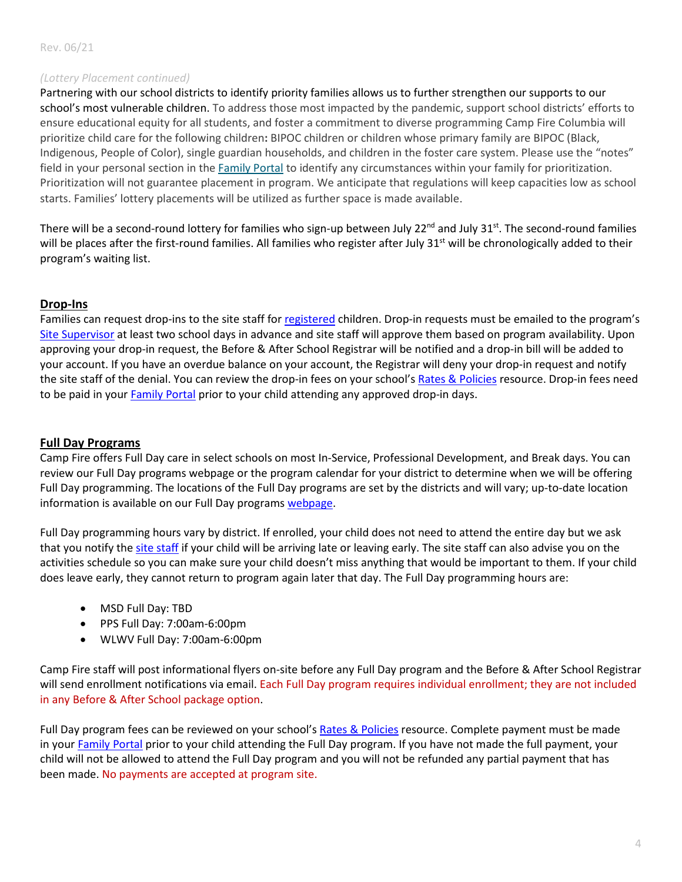#### *(Lottery Placement continued)*

Partnering with our school districts to identify priority families allows us to further strengthen our supports to our school's most vulnerable children. To address those most impacted by the pandemic, support school districts' efforts to ensure educational equity for all students, and foster a commitment to diverse programming Camp Fire Columbia will prioritize child care for the following children**:** BIPOC children or children whose primary family are BIPOC (Black, Indigenous, People of Color), single guardian households, and children in the foster care system. Please use the "notes" field in your personal section in the [Family Portal](https://t.e2ma.net/click/eohkwf/6tcm0p/e8kgrn) to identify any circumstances within your family for prioritization. Prioritization will not guarantee placement in program. We anticipate that regulations will keep capacities low as school starts. Families' lottery placements will be utilized as further space is made available.

There will be a second-round lottery for families who sign-up between July  $22^{nd}$  and July  $31^{st}$ . The second-round families will be places after the first-round families. All families who register after July 31<sup>st</sup> will be chronologically added to their program's waiting list.

# **Drop-Ins**

Families can request drop-ins to the site staff fo[r registered](#page-2-0) children. Drop-in requests must be emailed to the program's [Site Supervisor](#page-10-0) at least two school days in advance and site staff will approve them based on program availability. Upon approving your drop-in request, the Before & After School Registrar will be notified and a drop-in bill will be added to your account. If you have an overdue balance on your account, the Registrar will deny your drop-in request and notify the site staff of the denial. You can review the drop-in fees on your school'[s Rates & Policies](#page-10-0) resource. Drop-in fees need to be paid in your [Family Portal](https://connect.schoolcareworks.com/login.jsp) prior to your child attending any approved drop-in days.

### **Full Day Programs**

Camp Fire offers Full Day care in select schools on most In-Service, Professional Development, and Break days. You can review our Full Day programs webpage or the program calendar for your district to determine when we will be offering Full Day programming. The locations of the Full Day programs are set by the districts and will vary; up-to-date location information is available on our Full Day programs [webpage.](https://campfirecolumbia.org/full-day-programming/)

Full Day programming hours vary by district. If enrolled, your child does not need to attend the entire day but we ask that you notify the [site staff](#page-10-0) if your child will be arriving late or leaving early. The site staff can also advise you on the activities schedule so you can make sure your child doesn't miss anything that would be important to them. If your child does leave early, they cannot return to program again later that day. The Full Day programming hours are:

- MSD Full Day: TBD
- PPS Full Day: 7:00am-6:00pm
- WLWV Full Day: 7:00am-6:00pm

Camp Fire staff will post informational flyers on-site before any Full Day program and the Before & After School Registrar will send enrollment notifications via email. Each Full Day program requires individual enrollment; they are not included in any Before & After School package option.

Full Day program fees can be reviewed on your school's [Rates &](#page-10-0) Policies resource. Complete payment must be made in you[r Family Portal](https://connect.schoolcareworks.com/login.jsp) prior to your child attending the Full Day program. If you have not made the full payment, your child will not be allowed to attend the Full Day program and you will not be refunded any partial payment that has been made. No payments are accepted at program site.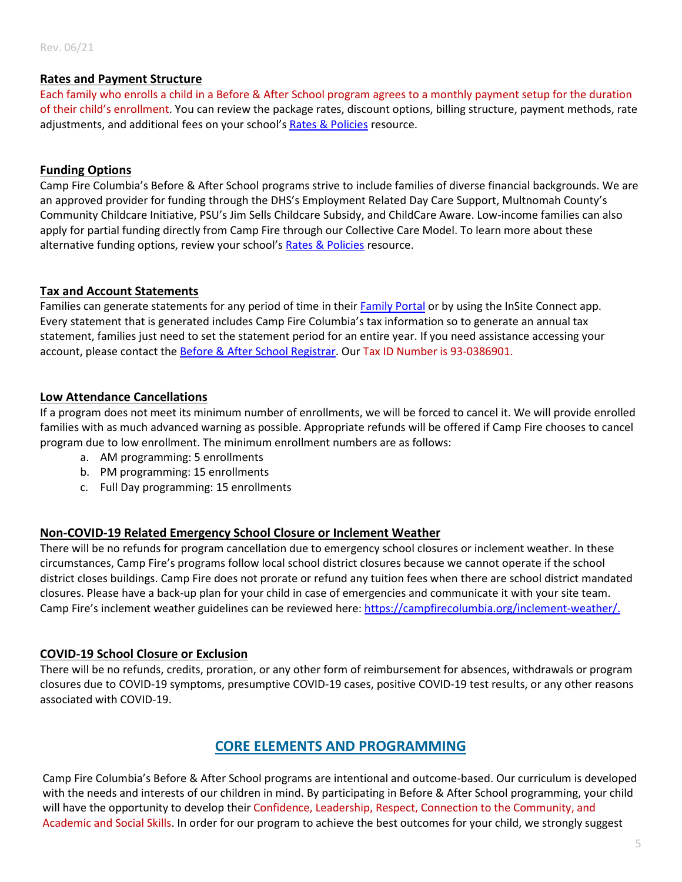# **Rates and Payment Structure**

Each family who enrolls a child in a Before & After School program agrees to a monthly payment setup for the duration of their child's enrollment. You can review the package rates, discount options, billing structure, payment methods, rate adjustments, and additional fees on your school's [Rates & Policies](#page-10-0) resource.

# **Funding Options**

Camp Fire Columbia's Before & After School programs strive to include families of diverse financial backgrounds. We are an approved provider for funding through the DHS's Employment Related Day Care Support, Multnomah County's Community Childcare Initiative, PSU's Jim Sells Childcare Subsidy, and ChildCare Aware. Low-income families can also apply for partial funding directly from Camp Fire through our Collective Care Model. To learn more about these alternative funding options, review your school's [Rates & Policies](#page-10-0) resource.

# **Tax and Account Statements**

Families can generate statements for any period of time in thei[r Family Portal](https://connect.schoolcareworks.com/login.jsp) or by using the InSite Connect app. Every statement that is generated includes Camp Fire Columbia's tax information so to generate an annual tax statement, families just need to set the statement period for an entire year. If you need assistance accessing your account, please contact th[e Before & After School Registrar.](mailto:awest@campfirecolumbia.org) Our Tax ID Number is 93-0386901.

# **Low Attendance Cancellations**

If a program does not meet its minimum number of enrollments, we will be forced to cancel it. We will provide enrolled families with as much advanced warning as possible. Appropriate refunds will be offered if Camp Fire chooses to cancel program due to low enrollment. The minimum enrollment numbers are as follows:

- a. AM programming: 5 enrollments
- b. PM programming: 15 enrollments
- c. Full Day programming: 15 enrollments

# **Non-COVID-19 Related Emergency School Closure or Inclement Weather**

There will be no refunds for program cancellation due to emergency school closures or inclement weather. In these circumstances, Camp Fire's programs follow local school district closures because we cannot operate if the school district closes buildings. Camp Fire does not prorate or refund any tuition fees when there are school district mandated closures. Please have a back-up plan for your child in case of emergencies and communicate it with your site team. Camp Fire's inclement weather guidelines can be reviewed here: [https://campfirecolumbia.org/inclement-weather/.](https://campfirecolumbia.org/inclement-weather/)

# **COVID-19 School Closure or Exclusion**

There will be no refunds, credits, proration, or any other form of reimbursement for absences, withdrawals or program closures due to COVID-19 symptoms, presumptive COVID-19 cases, positive COVID-19 test results, or any other reasons associated with COVID-19.

# **CORE ELEMENTS AND PROGRAMMING**

Camp Fire Columbia's Before & After School programs are intentional and outcome-based. Our curriculum is developed with the needs and interests of our children in mind. By participating in Before & After School programming, your child will have the opportunity to develop their Confidence, Leadership, Respect, Connection to the Community, and Academic and Social Skills. In order for our program to achieve the best outcomes for your child, we strongly suggest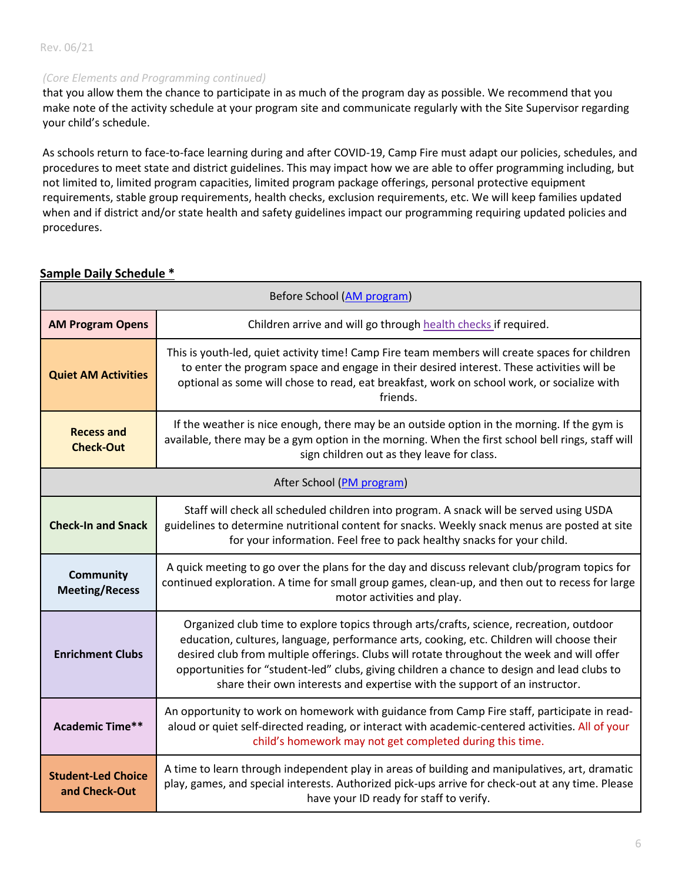#### *(Core Elements and Programming continued)*

that you allow them the chance to participate in as much of the program day as possible. We recommend that you make note of the activity schedule at your program site and communicate regularly with the Site Supervisor regarding your child's schedule.

As schools return to face-to-face learning during and after COVID-19, Camp Fire must adapt our policies, schedules, and procedures to meet state and district guidelines. This may impact how we are able to offer programming including, but not limited to, limited program capacities, limited program package offerings, personal protective equipment requirements, stable group requirements, health checks, exclusion requirements, etc. We will keep families updated when and if district and/or state health and safety guidelines impact our programming requiring updated policies and procedures.

| Before School (AM program)                 |                                                                                                                                                                                                                                                                                                                                                                                                                                                                 |
|--------------------------------------------|-----------------------------------------------------------------------------------------------------------------------------------------------------------------------------------------------------------------------------------------------------------------------------------------------------------------------------------------------------------------------------------------------------------------------------------------------------------------|
| <b>AM Program Opens</b>                    | Children arrive and will go through health checks if required.                                                                                                                                                                                                                                                                                                                                                                                                  |
| <b>Quiet AM Activities</b>                 | This is youth-led, quiet activity time! Camp Fire team members will create spaces for children<br>to enter the program space and engage in their desired interest. These activities will be<br>optional as some will chose to read, eat breakfast, work on school work, or socialize with<br>friends.                                                                                                                                                           |
| <b>Recess and</b><br><b>Check-Out</b>      | If the weather is nice enough, there may be an outside option in the morning. If the gym is<br>available, there may be a gym option in the morning. When the first school bell rings, staff will<br>sign children out as they leave for class.                                                                                                                                                                                                                  |
| After School (PM program)                  |                                                                                                                                                                                                                                                                                                                                                                                                                                                                 |
| <b>Check-In and Snack</b>                  | Staff will check all scheduled children into program. A snack will be served using USDA<br>guidelines to determine nutritional content for snacks. Weekly snack menus are posted at site<br>for your information. Feel free to pack healthy snacks for your child.                                                                                                                                                                                              |
| Community<br><b>Meeting/Recess</b>         | A quick meeting to go over the plans for the day and discuss relevant club/program topics for<br>continued exploration. A time for small group games, clean-up, and then out to recess for large<br>motor activities and play.                                                                                                                                                                                                                                  |
| <b>Enrichment Clubs</b>                    | Organized club time to explore topics through arts/crafts, science, recreation, outdoor<br>education, cultures, language, performance arts, cooking, etc. Children will choose their<br>desired club from multiple offerings. Clubs will rotate throughout the week and will offer<br>opportunities for "student-led" clubs, giving children a chance to design and lead clubs to<br>share their own interests and expertise with the support of an instructor. |
| <b>Academic Time**</b>                     | An opportunity to work on homework with guidance from Camp Fire staff, participate in read-<br>aloud or quiet self-directed reading, or interact with academic-centered activities. All of your<br>child's homework may not get completed during this time.                                                                                                                                                                                                     |
| <b>Student-Led Choice</b><br>and Check-Out | A time to learn through independent play in areas of building and manipulatives, art, dramatic<br>play, games, and special interests. Authorized pick-ups arrive for check-out at any time. Please<br>have your ID ready for staff to verify.                                                                                                                                                                                                                   |

# **Sample Daily Schedule \***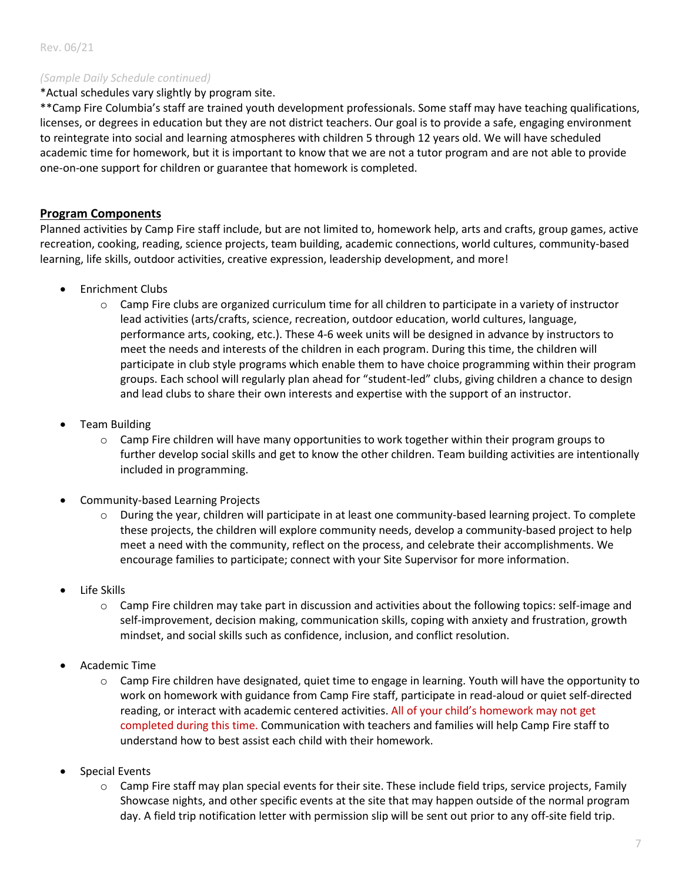#### *(Sample Daily Schedule continued)*

\*Actual schedules vary slightly by program site.

\*\*Camp Fire Columbia's staff are trained youth development professionals. Some staff may have teaching qualifications, licenses, or degrees in education but they are not district teachers. Our goal is to provide a safe, engaging environment to reintegrate into social and learning atmospheres with children 5 through 12 years old. We will have scheduled academic time for homework, but it is important to know that we are not a tutor program and are not able to provide one-on-one support for children or guarantee that homework is completed.

# **Program Components**

Planned activities by Camp Fire staff include, but are not limited to, homework help, arts and crafts, group games, active recreation, cooking, reading, science projects, team building, academic connections, world cultures, community-based learning, life skills, outdoor activities, creative expression, leadership development, and more!

- Enrichment Clubs
	- $\circ$  Camp Fire clubs are organized curriculum time for all children to participate in a variety of instructor lead activities (arts/crafts, science, recreation, outdoor education, world cultures, language, performance arts, cooking, etc.). These 4-6 week units will be designed in advance by instructors to meet the needs and interests of the children in each program. During this time, the children will participate in club style programs which enable them to have choice programming within their program groups. Each school will regularly plan ahead for "student-led" clubs, giving children a chance to design and lead clubs to share their own interests and expertise with the support of an instructor.
- Team Building
	- $\circ$  Camp Fire children will have many opportunities to work together within their program groups to further develop social skills and get to know the other children. Team building activities are intentionally included in programming.
- Community-based Learning Projects
	- o During the year, children will participate in at least one community-based learning project. To complete these projects, the children will explore community needs, develop a community-based project to help meet a need with the community, reflect on the process, and celebrate their accomplishments. We encourage families to participate; connect with your Site Supervisor for more information.
- Life Skills
	- o Camp Fire children may take part in discussion and activities about the following topics: self-image and self-improvement, decision making, communication skills, coping with anxiety and frustration, growth mindset, and social skills such as confidence, inclusion, and conflict resolution.
- Academic Time
	- $\circ$  Camp Fire children have designated, quiet time to engage in learning. Youth will have the opportunity to work on homework with guidance from Camp Fire staff, participate in read-aloud or quiet self-directed reading, or interact with academic centered activities. All of your child's homework may not get completed during this time. Communication with teachers and families will help Camp Fire staff to understand how to best assist each child with their homework.
- Special Events
	- o Camp Fire staff may plan special events for their site. These include field trips, service projects, Family Showcase nights, and other specific events at the site that may happen outside of the normal program day. A field trip notification letter with permission slip will be sent out prior to any off-site field trip.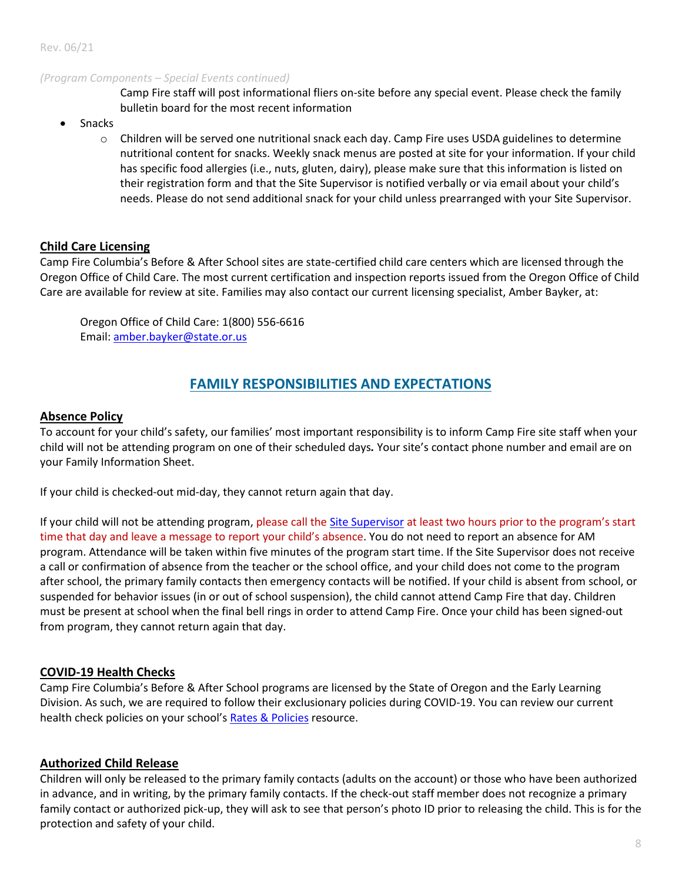#### *(Program Components – Special Events continued)*

Camp Fire staff will post informational fliers on-site before any special event. Please check the family bulletin board for the most recent information

- Snacks
	- o Children will be served one nutritional snack each day. Camp Fire uses USDA guidelines to determine nutritional content for snacks. Weekly snack menus are posted at site for your information. If your child has specific food allergies (i.e., nuts, gluten, dairy), please make sure that this information is listed on their registration form and that the Site Supervisor is notified verbally or via email about your child's needs. Please do not send additional snack for your child unless prearranged with your Site Supervisor.

#### **Child Care Licensing**

Camp Fire Columbia's Before & After School sites are state-certified child care centers which are licensed through the Oregon Office of Child Care. The most current certification and inspection reports issued from the Oregon Office of Child Care are available for review at site. Families may also contact our current licensing specialist, Amber Bayker, at:

Oregon Office of Child Care: 1(800) 556-6616 Email: [amber.bayker@state.or.us](mailto:amber.bayker@state.or.us)

# **FAMILY RESPONSIBILITIES AND EXPECTATIONS**

#### **Absence Policy**

To account for your child's safety, our families' most important responsibility is to inform Camp Fire site staff when your child will not be attending program on one of their scheduled days*.* Your site's contact phone number and email are on your Family Information Sheet.

If your child is checked-out mid-day, they cannot return again that day.

If your child will not be attending program, please call the [Site Supervisor](#page-10-0) at least two hours prior to the program's start time that day and leave a message to report your child's absence. You do not need to report an absence for AM program. Attendance will be taken within five minutes of the program start time. If the Site Supervisor does not receive a call or confirmation of absence from the teacher or the school office, and your child does not come to the program after school, the primary family contacts then emergency contacts will be notified. If your child is absent from school, or suspended for behavior issues (in or out of school suspension), the child cannot attend Camp Fire that day. Children must be present at school when the final bell rings in order to attend Camp Fire. Once your child has been signed-out from program, they cannot return again that day.

#### <span id="page-7-0"></span>**COVID-19 Health Checks**

Camp Fire Columbia's Before & After School programs are licensed by the State of Oregon and the Early Learning Division. As such, we are required to follow their exclusionary policies during COVID-19. You can review our current health check policies on your school'[s Rates & Policies](#page-10-0) resource.

#### **Authorized Child Release**

Children will only be released to the primary family contacts (adults on the account) or those who have been authorized in advance, and in writing, by the primary family contacts. If the check-out staff member does not recognize a primary family contact or authorized pick-up, they will ask to see that person's photo ID prior to releasing the child. This is for the protection and safety of your child.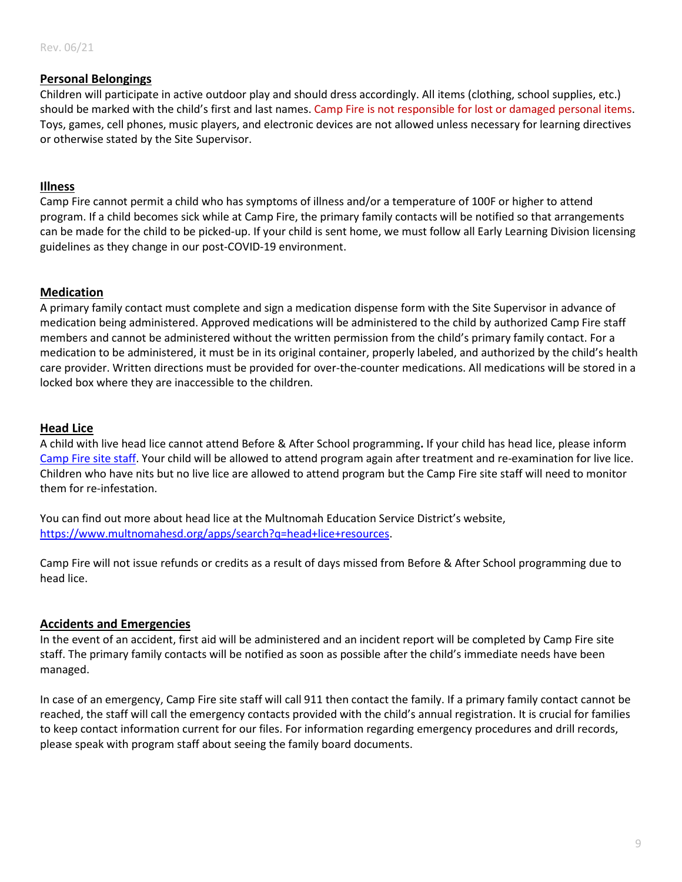# **Personal Belongings**

Children will participate in active outdoor play and should dress accordingly. All items (clothing, school supplies, etc.) should be marked with the child's first and last names. Camp Fire is not responsible for lost or damaged personal items. Toys, games, cell phones, music players, and electronic devices are not allowed unless necessary for learning directives or otherwise stated by the Site Supervisor.

# **Illness**

Camp Fire cannot permit a child who has symptoms of illness and/or a temperature of 100F or higher to attend program. If a child becomes sick while at Camp Fire, the primary family contacts will be notified so that arrangements can be made for the child to be picked-up. If your child is sent home, we must follow all Early Learning Division licensing guidelines as they change in our post-COVID-19 environment.

# **Medication**

A primary family contact must complete and sign a medication dispense form with the Site Supervisor in advance of medication being administered. Approved medications will be administered to the child by authorized Camp Fire staff members and cannot be administered without the written permission from the child's primary family contact. For a medication to be administered, it must be in its original container, properly labeled, and authorized by the child's health care provider. Written directions must be provided for over-the-counter medications. All medications will be stored in a locked box where they are inaccessible to the children.

# **Head Lice**

A child with live head lice cannot attend Before & After School programming**.** If your child has head lice, please inform [Camp Fire site staff.](#page-10-0) Your child will be allowed to attend program again after treatment and re-examination for live lice. Children who have nits but no live lice are allowed to attend program but the Camp Fire site staff will need to monitor them for re-infestation.

You can find out more about head lice at the Multnomah Education Service District's website, [https://www.multnomahesd.org/apps/search?q=head+lice+resources.](https://www.multnomahesd.org/apps/search?q=head+lice+resources)

Camp Fire will not issue refunds or credits as a result of days missed from Before & After School programming due to head lice.

#### **Accidents and Emergencies**

In the event of an accident, first aid will be administered and an incident report will be completed by Camp Fire site staff. The primary family contacts will be notified as soon as possible after the child's immediate needs have been managed.

In case of an emergency, Camp Fire site staff will call 911 then contact the family. If a primary family contact cannot be reached, the staff will call the emergency contacts provided with the child's annual registration. It is crucial for families to keep contact information current for our files. For information regarding emergency procedures and drill records, please speak with program staff about seeing the family board documents.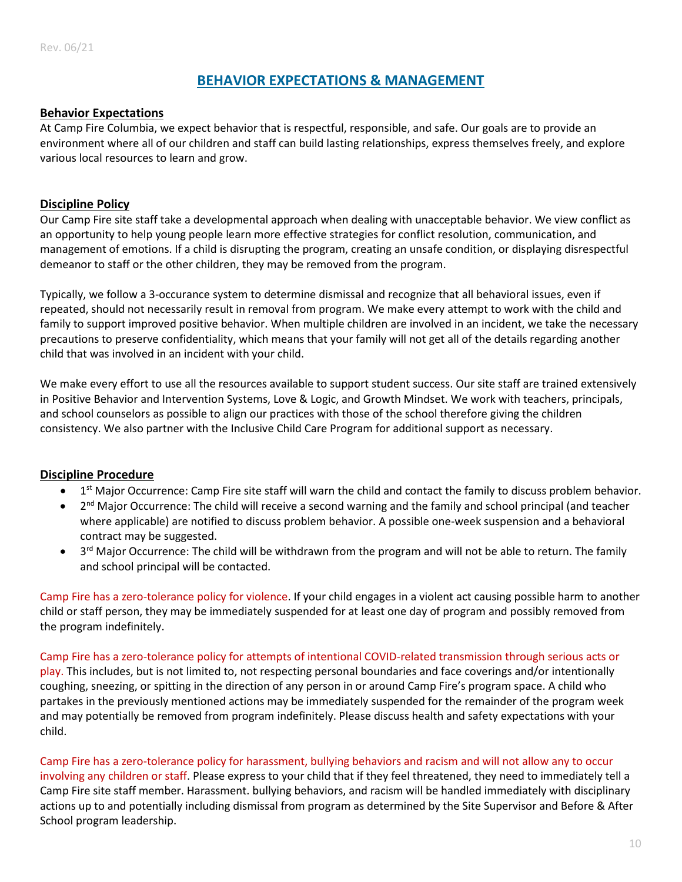# **BEHAVIOR EXPECTATIONS & MANAGEMENT**

# **Behavior Expectations**

At Camp Fire Columbia, we expect behavior that is respectful, responsible, and safe. Our goals are to provide an environment where all of our children and staff can build lasting relationships, express themselves freely, and explore various local resources to learn and grow.

# **Discipline Policy**

Our Camp Fire site staff take a developmental approach when dealing with unacceptable behavior. We view conflict as an opportunity to help young people learn more effective strategies for conflict resolution, communication, and management of emotions. If a child is disrupting the program, creating an unsafe condition, or displaying disrespectful demeanor to staff or the other children, they may be removed from the program.

Typically, we follow a 3-occurance system to determine dismissal and recognize that all behavioral issues, even if repeated, should not necessarily result in removal from program. We make every attempt to work with the child and family to support improved positive behavior. When multiple children are involved in an incident, we take the necessary precautions to preserve confidentiality, which means that your family will not get all of the details regarding another child that was involved in an incident with your child.

We make every effort to use all the resources available to support student success. Our site staff are trained extensively in Positive Behavior and Intervention Systems, Love & Logic, and Growth Mindset. We work with teachers, principals, and school counselors as possible to align our practices with those of the school therefore giving the children consistency. We also partner with the Inclusive Child Care Program for additional support as necessary.

#### **Discipline Procedure**

- 1<sup>st</sup> Major Occurrence: Camp Fire site staff will warn the child and contact the family to discuss problem behavior.
- 2<sup>nd</sup> Major Occurrence: The child will receive a second warning and the family and school principal (and teacher where applicable) are notified to discuss problem behavior. A possible one-week suspension and a behavioral contract may be suggested.
- 3<sup>rd</sup> Major Occurrence: The child will be withdrawn from the program and will not be able to return. The family and school principal will be contacted.

Camp Fire has a zero-tolerance policy for violence. If your child engages in a violent act causing possible harm to another child or staff person, they may be immediately suspended for at least one day of program and possibly removed from the program indefinitely.

Camp Fire has a zero-tolerance policy for attempts of intentional COVID-related transmission through serious acts or play. This includes, but is not limited to, not respecting personal boundaries and face coverings and/or intentionally coughing, sneezing, or spitting in the direction of any person in or around Camp Fire's program space. A child who partakes in the previously mentioned actions may be immediately suspended for the remainder of the program week and may potentially be removed from program indefinitely. Please discuss health and safety expectations with your child.

Camp Fire has a zero-tolerance policy for harassment, bullying behaviors and racism and will not allow any to occur involving any children or staff. Please express to your child that if they feel threatened, they need to immediately tell a Camp Fire site staff member. Harassment. bullying behaviors, and racism will be handled immediately with disciplinary actions up to and potentially including dismissal from program as determined by the Site Supervisor and Before & After School program leadership.